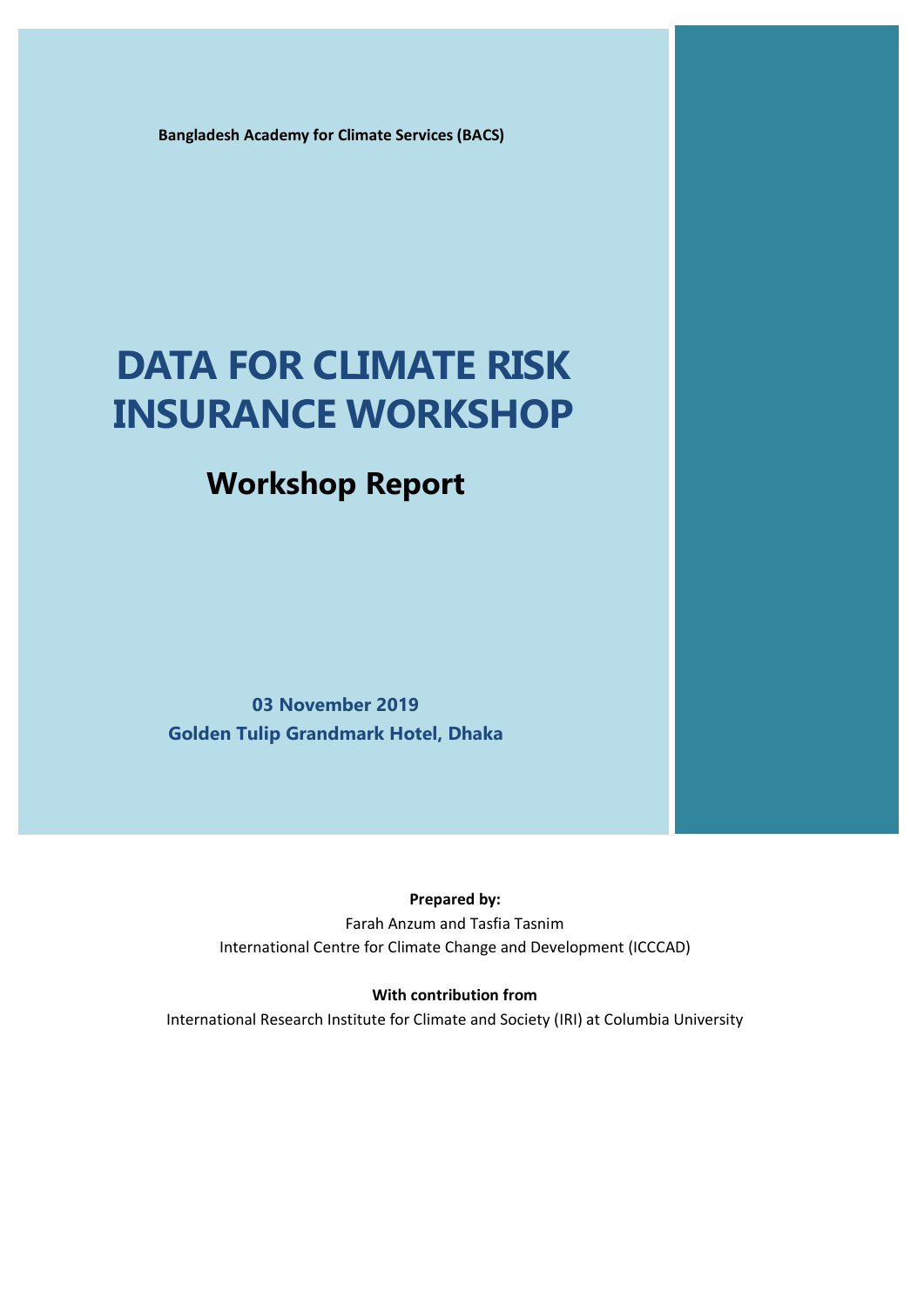**Bangladesh Academy for Climate Services (BACS)**

# **DATA FOR CLIMATE RISK INSURANCE WORKSHOP**

# **Workshop Report**

**03 November 2019 Golden Tulip Grandmark Hotel, Dhaka**

# **Prepared by:**

Farah Anzum and Tasfia Tasnim International Centre for Climate Change and Development (ICCCAD)

# **With contribution from**

International Research Institute for Climate and Society (IRI) at Columbia University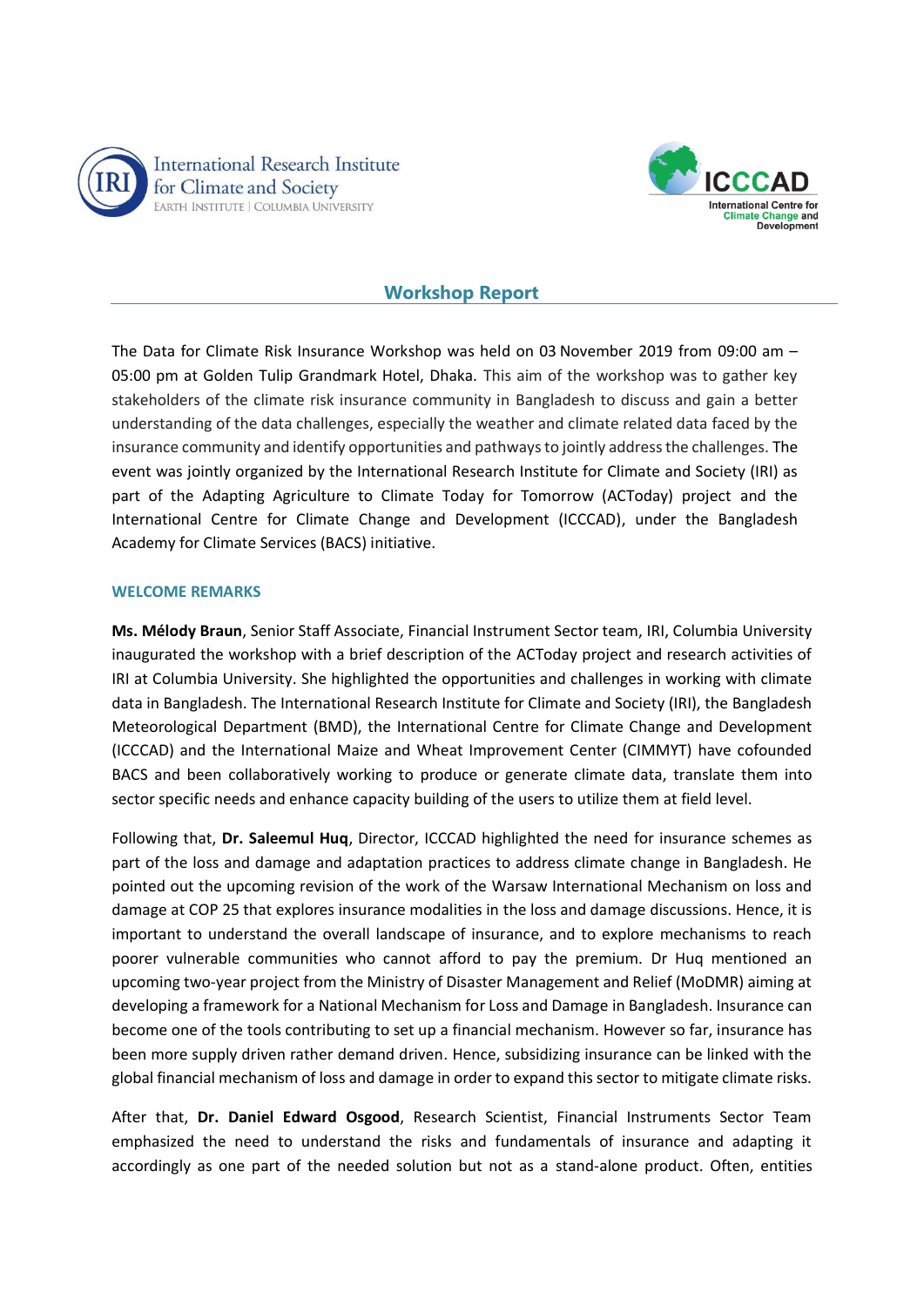



# **Workshop Report**

The Data for Climate Risk Insurance Workshop was held on 03 November 2019 from 09:00 am – 05:00 pm at Golden Tulip Grandmark Hotel, Dhaka. This aim of the workshop was to gather key stakeholders of the climate risk insurance community in Bangladesh to discuss and gain a better understanding of the data challenges, especially the weather and climate related data faced by the insurance community and identify opportunities and pathways to jointly address the challenges. The event was jointly organized by the International Research Institute for Climate and Society (IRI) as part of the Adapting Agriculture to Climate Today for Tomorrow (ACToday) project and the International Centre for Climate Change and Development (ICCCAD), under the Bangladesh Academy for Climate Services (BACS) initiative.

#### **WELCOME REMARKS**

**Ms. Mélody Braun**, Senior Staff Associate, Financial Instrument Sector team, IRI, Columbia University inaugurated the workshop with a brief description of the ACToday project and research activities of IRI at Columbia University. She highlighted the opportunities and challenges in working with climate data in Bangladesh. The International Research Institute for Climate and Society (IRI), the Bangladesh Meteorological Department (BMD), the International Centre for Climate Change and Development (ICCCAD) and the International Maize and Wheat Improvement Center (CIMMYT) have cofounded BACS and been collaboratively working to produce or generate climate data, translate them into sector specific needs and enhance capacity building of the users to utilize them at field level.

Following that, **Dr. Saleemul Huq**, Director, ICCCAD highlighted the need for insurance schemes as part of the loss and damage and adaptation practices to address climate change in Bangladesh. He pointed out the upcoming revision of the work of the Warsaw International Mechanism on loss and damage at COP 25 that explores insurance modalities in the loss and damage discussions. Hence, it is important to understand the overall landscape of insurance, and to explore mechanisms to reach poorer vulnerable communities who cannot afford to pay the premium. Dr Huq mentioned an upcoming two-year project from the Ministry of Disaster Management and Relief (MoDMR) aiming at developing a framework for a National Mechanism for Loss and Damage in Bangladesh. Insurance can become one of the tools contributing to set up a financial mechanism. However so far, insurance has been more supply driven rather demand driven. Hence, subsidizing insurance can be linked with the global financial mechanism of loss and damage in order to expand this sector to mitigate climate risks.

After that, **Dr. Daniel Edward Osgood**, Research Scientist, Financial Instruments Sector Team emphasized the need to understand the risks and fundamentals of insurance and adapting it accordingly as one part of the needed solution but not as a stand-alone product. Often, entities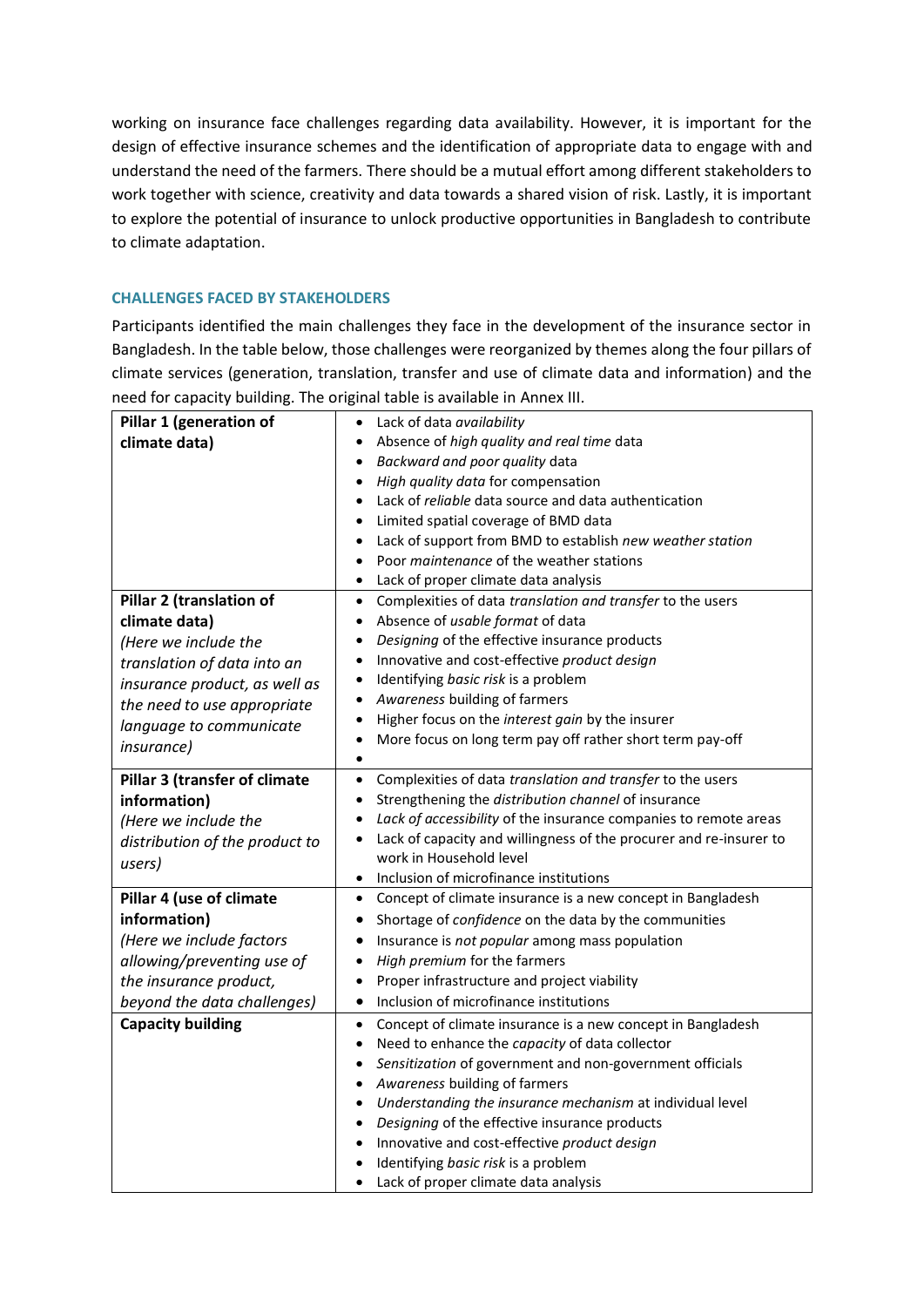working on insurance face challenges regarding data availability. However, it is important for the design of effective insurance schemes and the identification of appropriate data to engage with and understand the need of the farmers. There should be a mutual effort among different stakeholders to work together with science, creativity and data towards a shared vision of risk. Lastly, it is important to explore the potential of insurance to unlock productive opportunities in Bangladesh to contribute to climate adaptation.

# **CHALLENGES FACED BY STAKEHOLDERS**

Participants identified the main challenges they face in the development of the insurance sector in Bangladesh. In the table below, those challenges were reorganized by themes along the four pillars of climate services (generation, translation, transfer and use of climate data and information) and the need for capacity building. The original table is available in Annex III.

| Pillar 1 (generation of        | Lack of data availability<br>٠                                                  |
|--------------------------------|---------------------------------------------------------------------------------|
| climate data)                  | Absence of high quality and real time data                                      |
|                                | Backward and poor quality data<br>$\bullet$                                     |
|                                | High quality data for compensation<br>$\bullet$                                 |
|                                | Lack of reliable data source and data authentication                            |
|                                | Limited spatial coverage of BMD data                                            |
|                                | Lack of support from BMD to establish new weather station                       |
|                                | Poor maintenance of the weather stations                                        |
|                                | Lack of proper climate data analysis                                            |
| Pillar 2 (translation of       | Complexities of data translation and transfer to the users<br>$\bullet$         |
| climate data)                  | Absence of usable format of data<br>$\bullet$                                   |
| (Here we include the           | Designing of the effective insurance products<br>$\bullet$                      |
| translation of data into an    | Innovative and cost-effective product design<br>$\bullet$                       |
| insurance product, as well as  | Identifying basic risk is a problem<br>$\bullet$                                |
| the need to use appropriate    | Awareness building of farmers<br>٠                                              |
| language to communicate        | Higher focus on the interest gain by the insurer<br>$\bullet$                   |
| <i>insurance</i> )             | More focus on long term pay off rather short term pay-off<br>$\bullet$          |
|                                | ٠                                                                               |
| Pillar 3 (transfer of climate  | Complexities of data translation and transfer to the users<br>$\bullet$         |
| information)                   | Strengthening the distribution channel of insurance<br>٠                        |
| (Here we include the           | Lack of accessibility of the insurance companies to remote areas                |
| distribution of the product to | Lack of capacity and willingness of the procurer and re-insurer to<br>$\bullet$ |
| users)                         | work in Household level                                                         |
|                                | Inclusion of microfinance institutions<br>$\bullet$                             |
| Pillar 4 (use of climate       | Concept of climate insurance is a new concept in Bangladesh<br>$\bullet$        |
| information)                   | Shortage of confidence on the data by the communities<br>٠                      |
| (Here we include factors       | Insurance is not popular among mass population<br>٠                             |
| allowing/preventing use of     | High premium for the farmers<br>$\bullet$                                       |
| the insurance product,         | Proper infrastructure and project viability<br>$\bullet$                        |
| beyond the data challenges)    | Inclusion of microfinance institutions<br>$\bullet$                             |
| <b>Capacity building</b>       | Concept of climate insurance is a new concept in Bangladesh<br>$\bullet$        |
|                                | Need to enhance the capacity of data collector<br>$\bullet$                     |
|                                | Sensitization of government and non-government officials<br>$\bullet$           |
|                                | Awareness building of farmers<br>$\bullet$                                      |
|                                | Understanding the insurance mechanism at individual level<br>$\bullet$          |
|                                | Designing of the effective insurance products<br>٠                              |
|                                | Innovative and cost-effective product design                                    |
|                                | Identifying basic risk is a problem                                             |
|                                | Lack of proper climate data analysis                                            |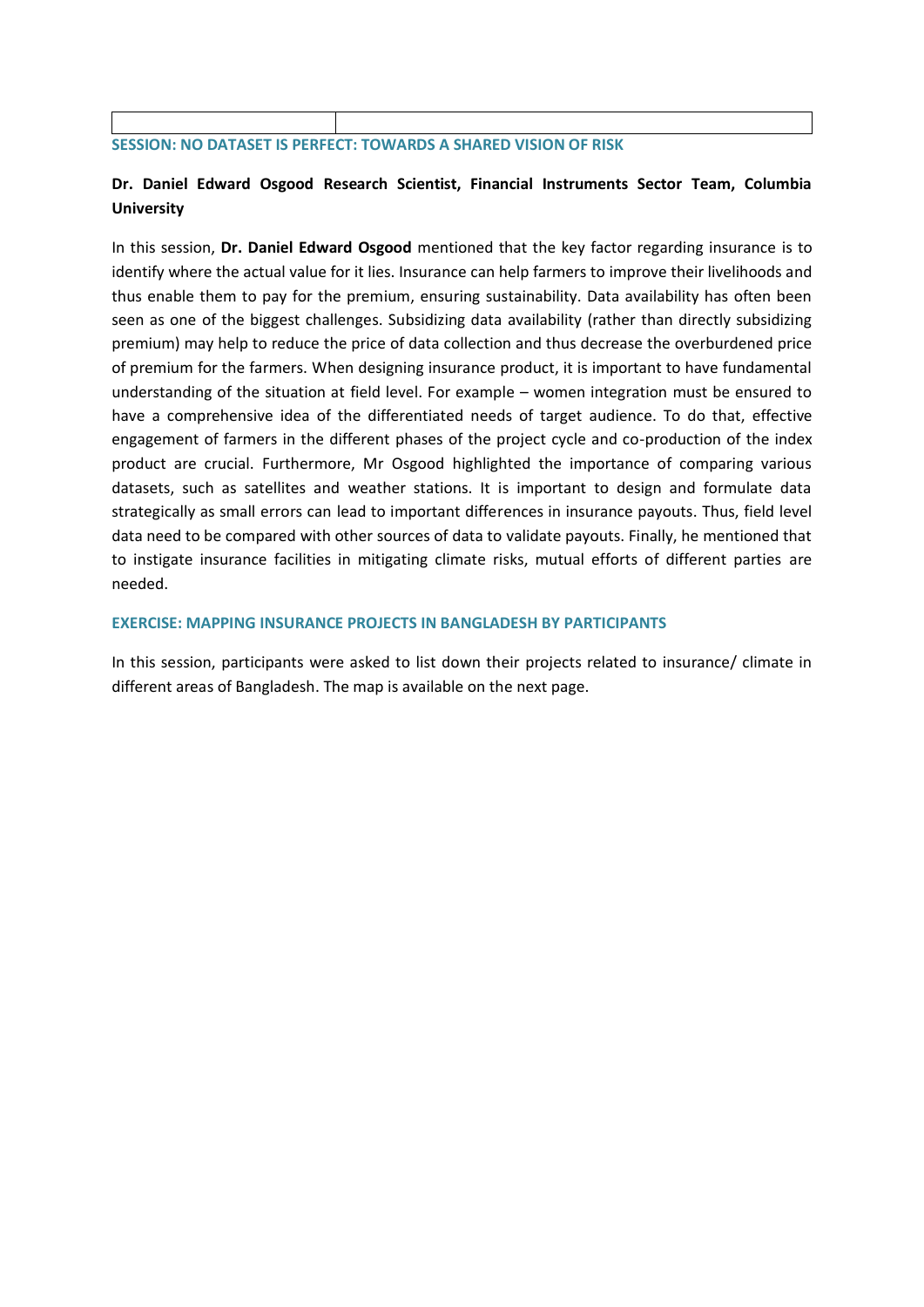#### **SESSION: NO DATASET IS PERFECT: TOWARDS A SHARED VISION OF RISK**

# **Dr. Daniel Edward Osgood Research Scientist, Financial Instruments Sector Team, Columbia University**

In this session, **Dr. Daniel Edward Osgood** mentioned that the key factor regarding insurance is to identify where the actual value for it lies. Insurance can help farmers to improve their livelihoods and thus enable them to pay for the premium, ensuring sustainability. Data availability has often been seen as one of the biggest challenges. Subsidizing data availability (rather than directly subsidizing premium) may help to reduce the price of data collection and thus decrease the overburdened price of premium for the farmers. When designing insurance product, it is important to have fundamental understanding of the situation at field level. For example – women integration must be ensured to have a comprehensive idea of the differentiated needs of target audience. To do that, effective engagement of farmers in the different phases of the project cycle and co-production of the index product are crucial. Furthermore, Mr Osgood highlighted the importance of comparing various datasets, such as satellites and weather stations. It is important to design and formulate data strategically as small errors can lead to important differences in insurance payouts. Thus, field level data need to be compared with other sources of data to validate payouts. Finally, he mentioned that to instigate insurance facilities in mitigating climate risks, mutual efforts of different parties are needed.

#### **EXERCISE: MAPPING INSURANCE PROJECTS IN BANGLADESH BY PARTICIPANTS**

In this session, participants were asked to list down their projects related to insurance/ climate in different areas of Bangladesh. The map is available on the next page.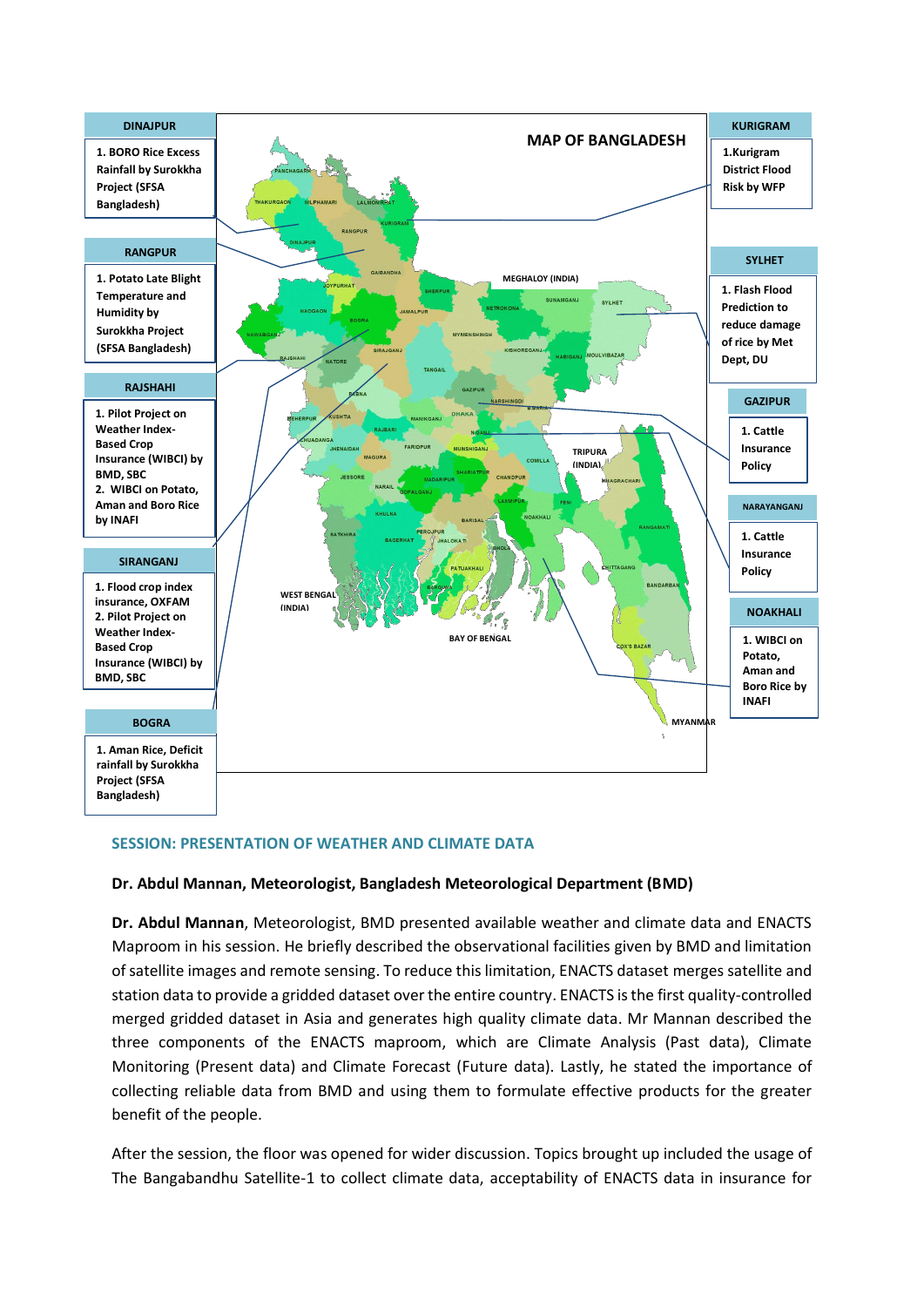

# **SESSION: PRESENTATION OF WEATHER AND CLIMATE DATA**

#### **Dr. Abdul Mannan, Meteorologist, Bangladesh Meteorological Department (BMD)**

**Dr. Abdul Mannan**, Meteorologist, BMD presented available weather and climate data and ENACTS Maproom in his session. He briefly described the observational facilities given by BMD and limitation of satellite images and remote sensing. To reduce this limitation, ENACTS dataset merges satellite and station data to provide a gridded dataset over the entire country. ENACTS is the first quality-controlled merged gridded dataset in Asia and generates high quality climate data. Mr Mannan described the three components of the ENACTS maproom, which are Climate Analysis (Past data), Climate Monitoring (Present data) and Climate Forecast (Future data). Lastly, he stated the importance of collecting reliable data from BMD and using them to formulate effective products for the greater benefit of the people.

After the session, the floor was opened for wider discussion. Topics brought up included the usage of The Bangabandhu Satellite-1 to collect climate data, acceptability of ENACTS data in insurance for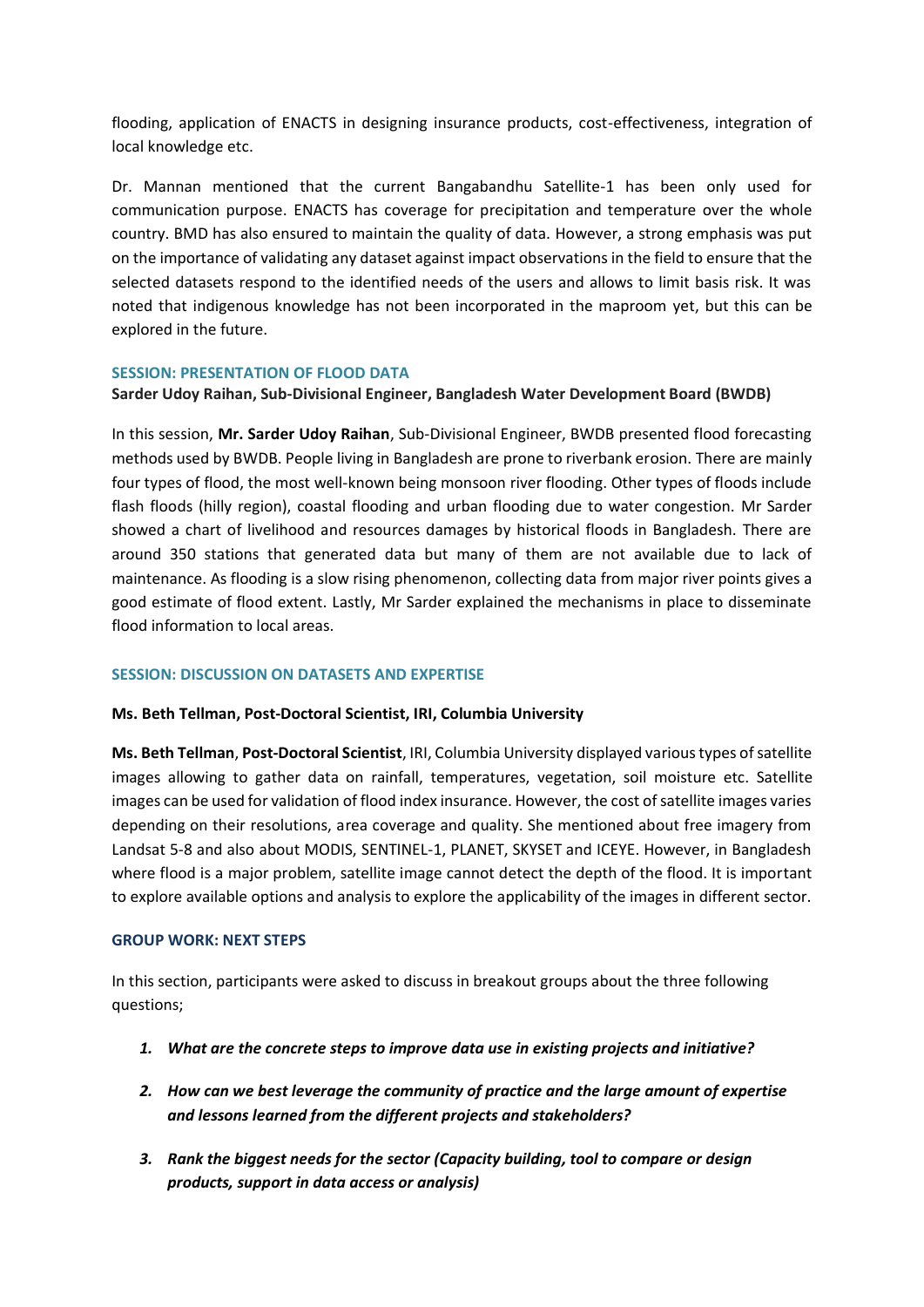flooding, application of ENACTS in designing insurance products, cost-effectiveness, integration of local knowledge etc.

Dr. Mannan mentioned that the current Bangabandhu Satellite-1 has been only used for communication purpose. ENACTS has coverage for precipitation and temperature over the whole country. BMD has also ensured to maintain the quality of data. However, a strong emphasis was put on the importance of validating any dataset against impact observations in the field to ensure that the selected datasets respond to the identified needs of the users and allows to limit basis risk. It was noted that indigenous knowledge has not been incorporated in the maproom yet, but this can be explored in the future.

# **SESSION: PRESENTATION OF FLOOD DATA**

# **Sarder Udoy Raihan, Sub-Divisional Engineer, Bangladesh Water Development Board (BWDB)**

In this session, **Mr. Sarder Udoy Raihan**, Sub-Divisional Engineer, BWDB presented flood forecasting methods used by BWDB. People living in Bangladesh are prone to riverbank erosion. There are mainly four types of flood, the most well-known being monsoon river flooding. Other types of floods include flash floods (hilly region), coastal flooding and urban flooding due to water congestion. Mr Sarder showed a chart of livelihood and resources damages by historical floods in Bangladesh. There are around 350 stations that generated data but many of them are not available due to lack of maintenance. As flooding is a slow rising phenomenon, collecting data from major river points gives a good estimate of flood extent. Lastly, Mr Sarder explained the mechanisms in place to disseminate flood information to local areas.

# **SESSION: DISCUSSION ON DATASETS AND EXPERTISE**

# **Ms. Beth Tellman, Post-Doctoral Scientist, IRI, Columbia University**

**Ms. Beth Tellman**, **Post-Doctoral Scientist**, IRI, Columbia University displayed various types of satellite images allowing to gather data on rainfall, temperatures, vegetation, soil moisture etc. Satellite images can be used for validation of flood index insurance. However, the cost of satellite images varies depending on their resolutions, area coverage and quality. She mentioned about free imagery from Landsat 5-8 and also about MODIS, SENTINEL-1, PLANET, SKYSET and ICEYE. However, in Bangladesh where flood is a major problem, satellite image cannot detect the depth of the flood. It is important to explore available options and analysis to explore the applicability of the images in different sector.

# **GROUP WORK: NEXT STEPS**

In this section, participants were asked to discuss in breakout groups about the three following questions;

- *1. What are the concrete steps to improve data use in existing projects and initiative?*
- *2. How can we best leverage the community of practice and the large amount of expertise and lessons learned from the different projects and stakeholders?*
- *3. Rank the biggest needs for the sector (Capacity building, tool to compare or design products, support in data access or analysis)*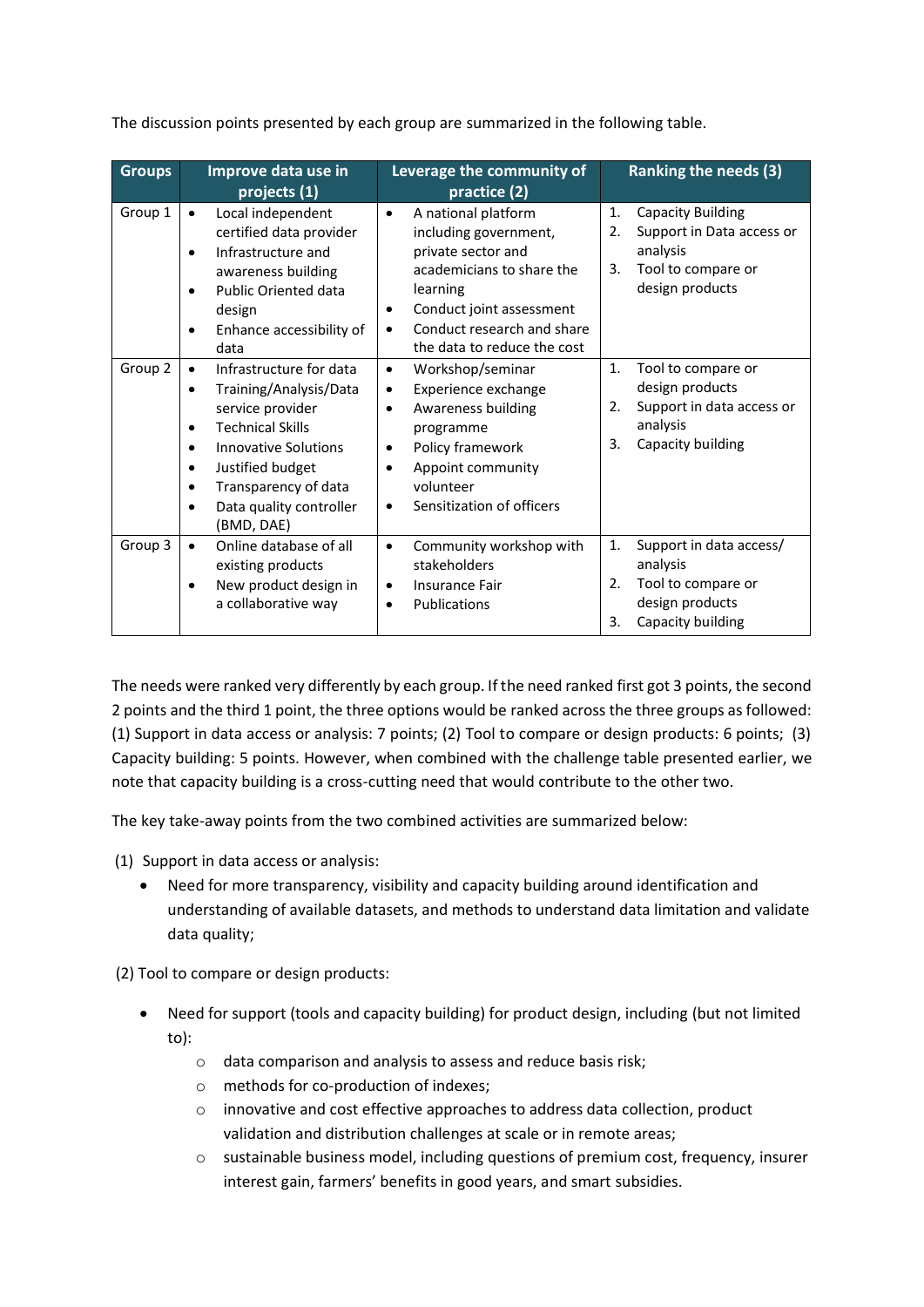| <b>Groups</b> | Improve data use in<br>projects (1)                                                                                                                                                                                                                                                                             | Leverage the community of<br>practice (2)                                                                                                                                                                                                   | <b>Ranking the needs (3)</b>                                                                                                 |
|---------------|-----------------------------------------------------------------------------------------------------------------------------------------------------------------------------------------------------------------------------------------------------------------------------------------------------------------|---------------------------------------------------------------------------------------------------------------------------------------------------------------------------------------------------------------------------------------------|------------------------------------------------------------------------------------------------------------------------------|
| Group 1       | Local independent<br>certified data provider<br>Infrastructure and<br>awareness building<br><b>Public Oriented data</b><br>design<br>Enhance accessibility of<br>٠<br>data                                                                                                                                      | A national platform<br>٠<br>including government,<br>private sector and<br>academicians to share the<br>learning<br>Conduct joint assessment<br>٠<br>Conduct research and share<br>٠<br>the data to reduce the cost                         | <b>Capacity Building</b><br>1.<br>Support in Data access or<br>2.<br>analysis<br>Tool to compare or<br>3.<br>design products |
| Group 2       | Infrastructure for data<br>$\bullet$<br>Training/Analysis/Data<br>$\bullet$<br>service provider<br><b>Technical Skills</b><br>$\bullet$<br><b>Innovative Solutions</b><br>$\bullet$<br>Justified budget<br>$\bullet$<br>Transparency of data<br>$\bullet$<br>Data quality controller<br>$\bullet$<br>(BMD, DAE) | Workshop/seminar<br>$\bullet$<br>Experience exchange<br>$\bullet$<br>Awareness building<br>$\bullet$<br>programme<br>Policy framework<br>$\bullet$<br>Appoint community<br>$\bullet$<br>volunteer<br>Sensitization of officers<br>$\bullet$ | 1.<br>Tool to compare or<br>design products<br>Support in data access or<br>2.<br>analysis<br>3.<br>Capacity building        |
| Group 3       | Online database of all<br>existing products<br>New product design in<br>a collaborative way                                                                                                                                                                                                                     | Community workshop with<br>$\bullet$<br>stakeholders<br><b>Insurance Fair</b><br>٠<br>Publications<br>$\bullet$                                                                                                                             | Support in data access/<br>1.<br>analysis<br>Tool to compare or<br>2.<br>design products<br>Capacity building<br>3.          |

The discussion points presented by each group are summarized in the following table.

The needs were ranked very differently by each group. If the need ranked first got 3 points, the second 2 points and the third 1 point, the three options would be ranked across the three groups as followed: (1) Support in data access or analysis: 7 points; (2) Tool to compare or design products: 6 points; (3) Capacity building: 5 points. However, when combined with the challenge table presented earlier, we note that capacity building is a cross-cutting need that would contribute to the other two.

The key take-away points from the two combined activities are summarized below:

- (1) Support in data access or analysis:
	- Need for more transparency, visibility and capacity building around identification and understanding of available datasets, and methods to understand data limitation and validate data quality;

(2) Tool to compare or design products:

- Need for support (tools and capacity building) for product design, including (but not limited to):
	- o data comparison and analysis to assess and reduce basis risk;
	- o methods for co-production of indexes;
	- o innovative and cost effective approaches to address data collection, product validation and distribution challenges at scale or in remote areas;
	- $\circ$  sustainable business model, including questions of premium cost, frequency, insurer interest gain, farmers' benefits in good years, and smart subsidies.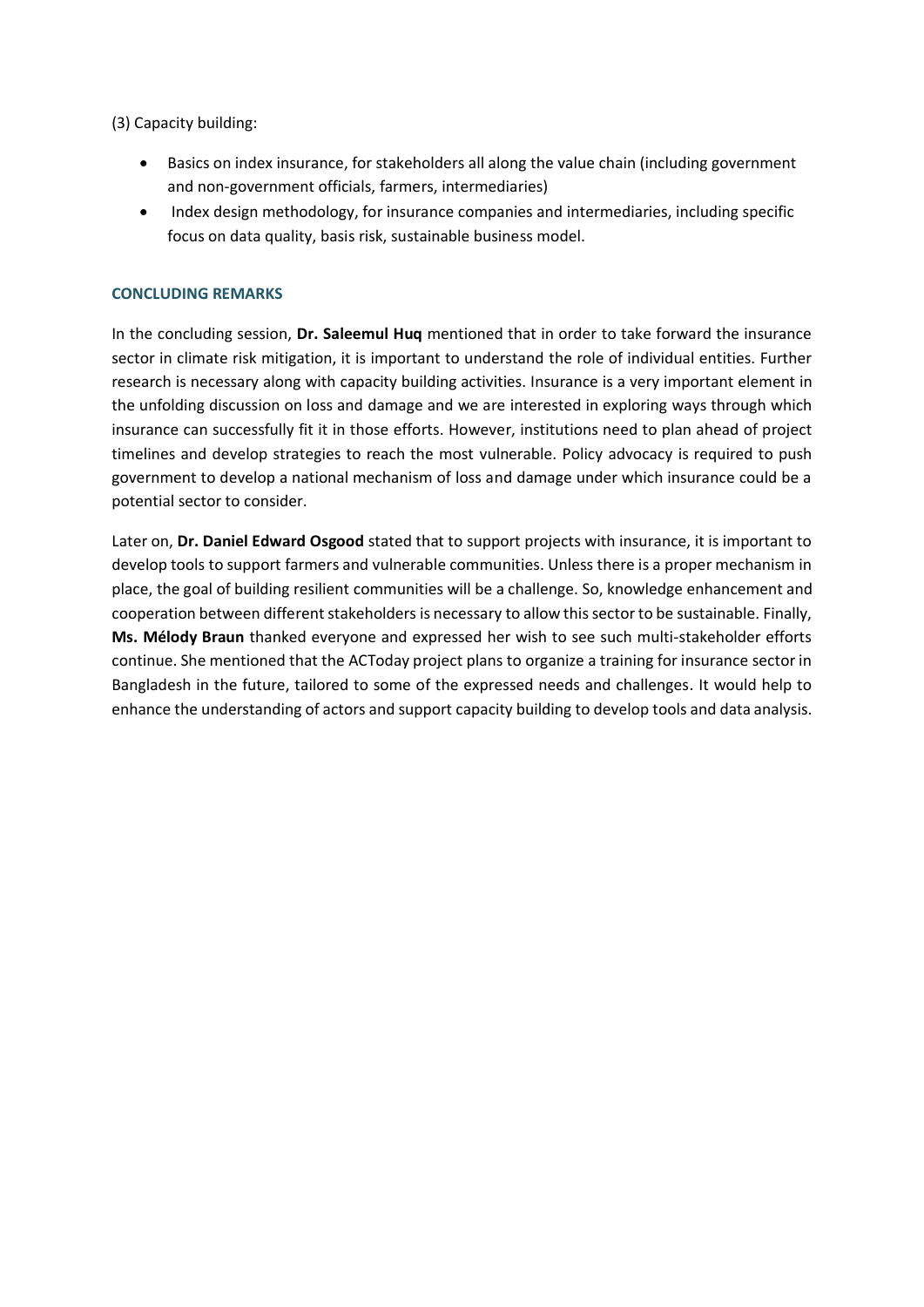(3) Capacity building:

- Basics on index insurance, for stakeholders all along the value chain (including government and non-government officials, farmers, intermediaries)
- Index design methodology, for insurance companies and intermediaries, including specific focus on data quality, basis risk, sustainable business model.

# **CONCLUDING REMARKS**

In the concluding session, **Dr. Saleemul Huq** mentioned that in order to take forward the insurance sector in climate risk mitigation, it is important to understand the role of individual entities. Further research is necessary along with capacity building activities. Insurance is a very important element in the unfolding discussion on loss and damage and we are interested in exploring ways through which insurance can successfully fit it in those efforts. However, institutions need to plan ahead of project timelines and develop strategies to reach the most vulnerable. Policy advocacy is required to push government to develop a national mechanism of loss and damage under which insurance could be a potential sector to consider.

Later on, **Dr. Daniel Edward Osgood** stated that to support projects with insurance, it is important to develop tools to support farmers and vulnerable communities. Unless there is a proper mechanism in place, the goal of building resilient communities will be a challenge. So, knowledge enhancement and cooperation between different stakeholders is necessary to allow this sector to be sustainable. Finally, **Ms. Mélody Braun** thanked everyone and expressed her wish to see such multi-stakeholder efforts continue. She mentioned that the ACToday project plans to organize a training for insurance sector in Bangladesh in the future, tailored to some of the expressed needs and challenges. It would help to enhance the understanding of actors and support capacity building to develop tools and data analysis.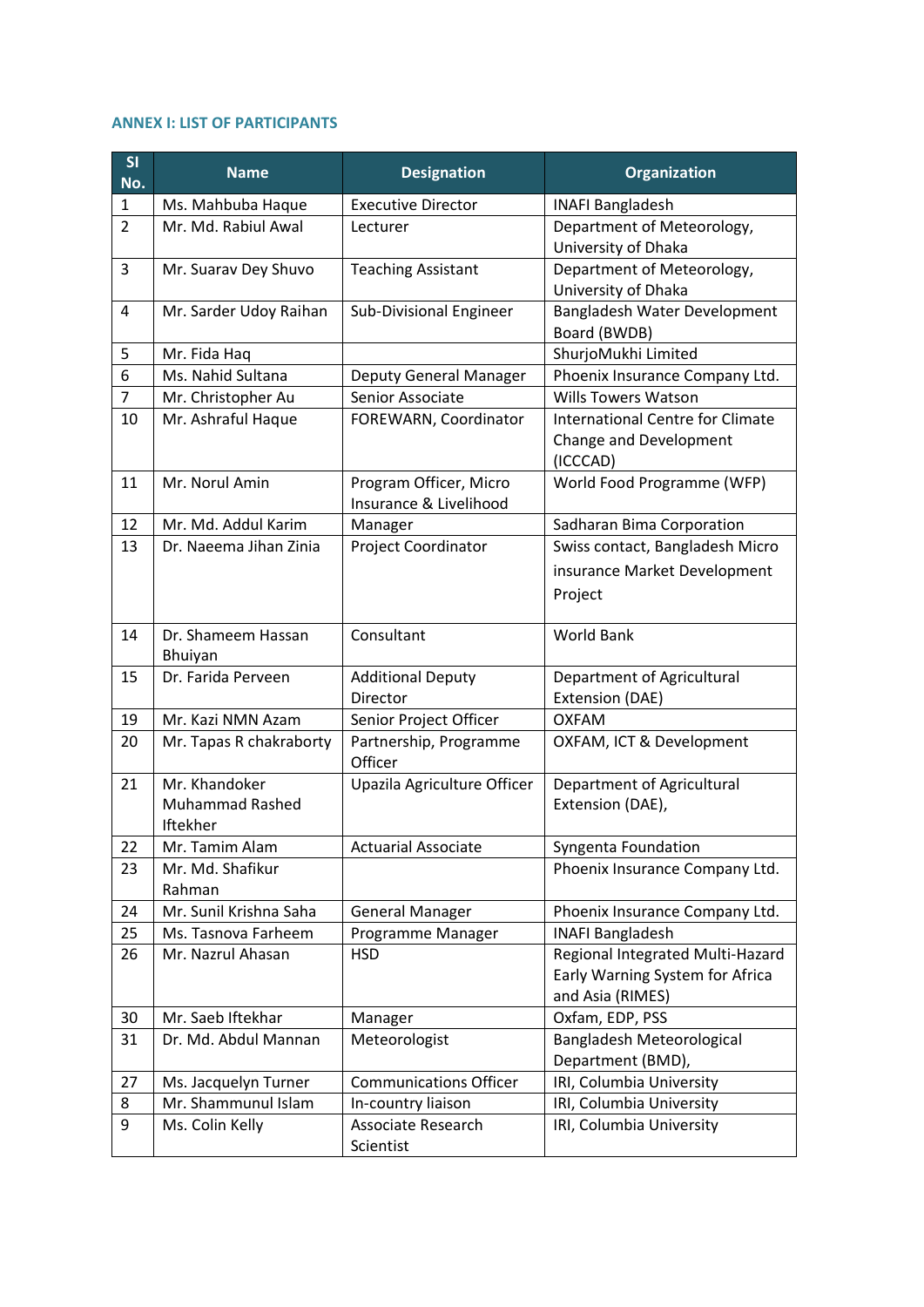# **ANNEX I: LIST OF PARTICIPANTS**

| SI<br>No. | <b>Name</b>                                         | <b>Designation</b>                               | <b>Organization</b>                                                                     |
|-----------|-----------------------------------------------------|--------------------------------------------------|-----------------------------------------------------------------------------------------|
| 1         | Ms. Mahbuba Haque                                   | <b>Executive Director</b>                        | <b>INAFI Bangladesh</b>                                                                 |
| 2         | Mr. Md. Rabiul Awal                                 | Lecturer                                         | Department of Meteorology,<br>University of Dhaka                                       |
| 3         | Mr. Suarav Dey Shuvo                                | <b>Teaching Assistant</b>                        | Department of Meteorology,<br>University of Dhaka                                       |
| 4         | Mr. Sarder Udoy Raihan                              | Sub-Divisional Engineer                          | Bangladesh Water Development<br>Board (BWDB)                                            |
| 5         | Mr. Fida Haq                                        |                                                  | ShurjoMukhi Limited                                                                     |
| 6         | Ms. Nahid Sultana                                   | <b>Deputy General Manager</b>                    | Phoenix Insurance Company Ltd.                                                          |
| 7         | Mr. Christopher Au                                  | Senior Associate                                 | <b>Wills Towers Watson</b>                                                              |
| 10        | Mr. Ashraful Haque                                  | FOREWARN, Coordinator                            | <b>International Centre for Climate</b><br>Change and Development<br>(ICCCAD)           |
| 11        | Mr. Norul Amin                                      | Program Officer, Micro<br>Insurance & Livelihood | World Food Programme (WFP)                                                              |
| 12        | Mr. Md. Addul Karim                                 | Manager                                          | Sadharan Bima Corporation                                                               |
| 13        | Dr. Naeema Jihan Zinia                              | Project Coordinator                              | Swiss contact, Bangladesh Micro                                                         |
|           |                                                     |                                                  | insurance Market Development                                                            |
|           |                                                     |                                                  | Project                                                                                 |
| 14        | Dr. Shameem Hassan<br>Bhuiyan                       | Consultant                                       | <b>World Bank</b>                                                                       |
| 15        | Dr. Farida Perveen                                  | <b>Additional Deputy</b><br>Director             | Department of Agricultural<br>Extension (DAE)                                           |
| 19        | Mr. Kazi NMN Azam                                   | Senior Project Officer                           | <b>OXFAM</b>                                                                            |
| 20        | Mr. Tapas R chakraborty                             | Partnership, Programme<br>Officer                | OXFAM, ICT & Development                                                                |
| 21        | Mr. Khandoker<br><b>Muhammad Rashed</b><br>Iftekher | Upazila Agriculture Officer                      | Department of Agricultural<br>Extension (DAE),                                          |
| 22        | Mr. Tamim Alam                                      | <b>Actuarial Associate</b>                       | Syngenta Foundation                                                                     |
| 23        | Mr. Md. Shafikur<br>Rahman                          |                                                  | Phoenix Insurance Company Ltd.                                                          |
| 24        | Mr. Sunil Krishna Saha                              | <b>General Manager</b>                           | Phoenix Insurance Company Ltd.                                                          |
| 25        | Ms. Tasnova Farheem                                 | Programme Manager                                | <b>INAFI Bangladesh</b>                                                                 |
| 26        | Mr. Nazrul Ahasan                                   | <b>HSD</b>                                       | Regional Integrated Multi-Hazard<br>Early Warning System for Africa<br>and Asia (RIMES) |
| 30        | Mr. Saeb Iftekhar                                   | Manager                                          | Oxfam, EDP, PSS                                                                         |
| 31        | Dr. Md. Abdul Mannan                                | Meteorologist                                    | Bangladesh Meteorological<br>Department (BMD),                                          |
| 27        | Ms. Jacquelyn Turner                                | <b>Communications Officer</b>                    | IRI, Columbia University                                                                |
| 8         | Mr. Shammunul Islam                                 | In-country liaison                               | IRI, Columbia University                                                                |
| 9         | Ms. Colin Kelly                                     | Associate Research                               | IRI, Columbia University                                                                |
|           |                                                     | Scientist                                        |                                                                                         |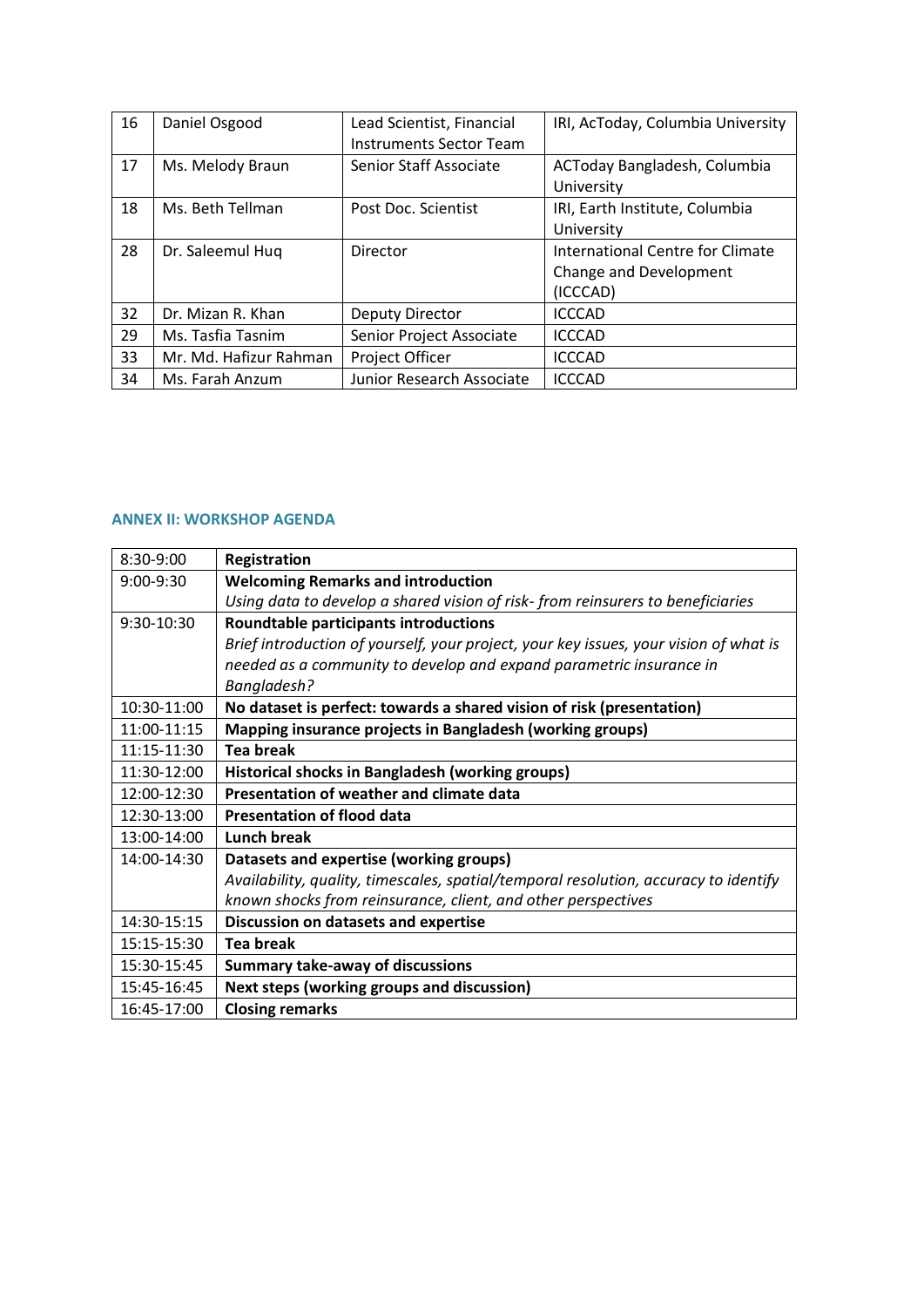| 16 | Daniel Osgood          | Lead Scientist, Financial<br>Instruments Sector Team | IRI, AcToday, Columbia University                                      |
|----|------------------------|------------------------------------------------------|------------------------------------------------------------------------|
| 17 | Ms. Melody Braun       | Senior Staff Associate                               | ACToday Bangladesh, Columbia<br>University                             |
| 18 | Ms. Beth Tellman       | Post Doc. Scientist                                  | IRI, Earth Institute, Columbia<br>University                           |
| 28 | Dr. Saleemul Hug       | Director                                             | International Centre for Climate<br>Change and Development<br>(ICCCAD) |
| 32 | Dr. Mizan R. Khan      | <b>Deputy Director</b>                               | <b>ICCCAD</b>                                                          |
| 29 | Ms. Tasfia Tasnim      | Senior Project Associate                             | <b>ICCCAD</b>                                                          |
| 33 | Mr. Md. Hafizur Rahman | Project Officer                                      | <b>ICCCAD</b>                                                          |
| 34 | Ms. Farah Anzum        | Junior Research Associate                            | <b>ICCCAD</b>                                                          |

# **ANNEX II: WORKSHOP AGENDA**

| 8:30-9:00   | Registration                                                                          |
|-------------|---------------------------------------------------------------------------------------|
| $9:00-9:30$ | <b>Welcoming Remarks and introduction</b>                                             |
|             | Using data to develop a shared vision of risk-from reinsurers to beneficiaries        |
| 9:30-10:30  | <b>Roundtable participants introductions</b>                                          |
|             | Brief introduction of yourself, your project, your key issues, your vision of what is |
|             | needed as a community to develop and expand parametric insurance in                   |
|             | Bangladesh?                                                                           |
| 10:30-11:00 | No dataset is perfect: towards a shared vision of risk (presentation)                 |
| 11:00-11:15 | Mapping insurance projects in Bangladesh (working groups)                             |
| 11:15-11:30 | <b>Tea break</b>                                                                      |
| 11:30-12:00 | Historical shocks in Bangladesh (working groups)                                      |
| 12:00-12:30 | Presentation of weather and climate data                                              |
| 12:30-13:00 | <b>Presentation of flood data</b>                                                     |
| 13:00-14:00 | Lunch break                                                                           |
| 14:00-14:30 | Datasets and expertise (working groups)                                               |
|             | Availability, quality, timescales, spatial/temporal resolution, accuracy to identify  |
|             | known shocks from reinsurance, client, and other perspectives                         |
| 14:30-15:15 | Discussion on datasets and expertise                                                  |
| 15:15-15:30 | <b>Tea break</b>                                                                      |
| 15:30-15:45 | <b>Summary take-away of discussions</b>                                               |
| 15:45-16:45 | Next steps (working groups and discussion)                                            |
| 16:45-17:00 | <b>Closing remarks</b>                                                                |